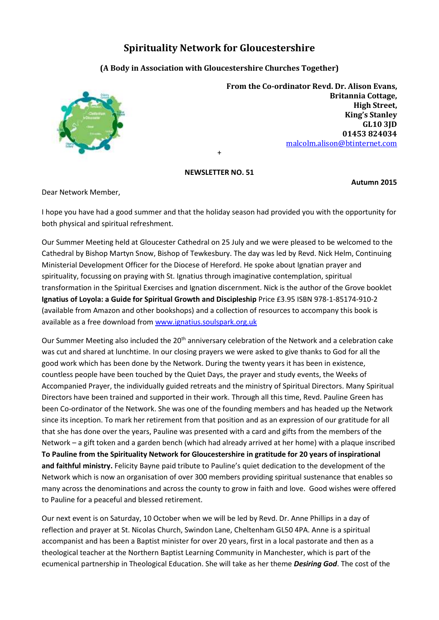## **Spirituality Network for Gloucestershire**

## **(A Body in Association with Gloucestershire Churches Together)**



**From the Co-ordinator Revd. Dr. Alison Evans, Britannia Cottage, High Street, King's Stanley GL10 3JD 01453 824034**  [malcolm.alison@btinternet.com](mailto:malcolm.alison@btinternet.com)

## **NEWSLETTER NO. 51**

+

**Autumn 2015** 

Dear Network Member,

I hope you have had a good summer and that the holiday season had provided you with the opportunity for both physical and spiritual refreshment.

Our Summer Meeting held at Gloucester Cathedral on 25 July and we were pleased to be welcomed to the Cathedral by Bishop Martyn Snow, Bishop of Tewkesbury. The day was led by Revd. Nick Helm, Continuing Ministerial Development Officer for the Diocese of Hereford. He spoke about Ignatian prayer and spirituality, focussing on praying with St. Ignatius through imaginative contemplation, spiritual transformation in the Spiritual Exercises and Ignation discernment. Nick is the author of the Grove booklet **Ignatius of Loyola: a Guide for Spiritual Growth and Discipleship** Price £3.95 ISBN 978-1-85174-910-2 (available from Amazon and other bookshops) and a collection of resources to accompany this book is available as a free download fro[m www.ignatius.soulspark.org.uk](http://www.ignatius.soulspark.org.uk/)

Our Summer Meeting also included the 20<sup>th</sup> anniversary celebration of the Network and a celebration cake was cut and shared at lunchtime. In our closing prayers we were asked to give thanks to God for all the good work which has been done by the Network. During the twenty years it has been in existence, countless people have been touched by the Quiet Days, the prayer and study events, the Weeks of Accompanied Prayer, the individually guided retreats and the ministry of Spiritual Directors. Many Spiritual Directors have been trained and supported in their work. Through all this time, Revd. Pauline Green has been Co-ordinator of the Network. She was one of the founding members and has headed up the Network since its inception. To mark her retirement from that position and as an expression of our gratitude for all that she has done over the years, Pauline was presented with a card and gifts from the members of the Network – a gift token and a garden bench (which had already arrived at her home) with a plaque inscribed **To Pauline from the Spirituality Network for Gloucestershire in gratitude for 20 years of inspirational and faithful ministry.** Felicity Bayne paid tribute to Pauline's quiet dedication to the development of the Network which is now an organisation of over 300 members providing spiritual sustenance that enables so many across the denominations and across the county to grow in faith and love. Good wishes were offered to Pauline for a peaceful and blessed retirement.

Our next event is on Saturday, 10 October when we will be led by Revd. Dr. Anne Phillips in a day of reflection and prayer at St. Nicolas Church, Swindon Lane, Cheltenham GL50 4PA. Anne is a spiritual accompanist and has been a Baptist minister for over 20 years, first in a local pastorate and then as a theological teacher at the Northern Baptist Learning Community in Manchester, which is part of the ecumenical partnership in Theological Education. She will take as her theme *Desiring God*. The cost of the